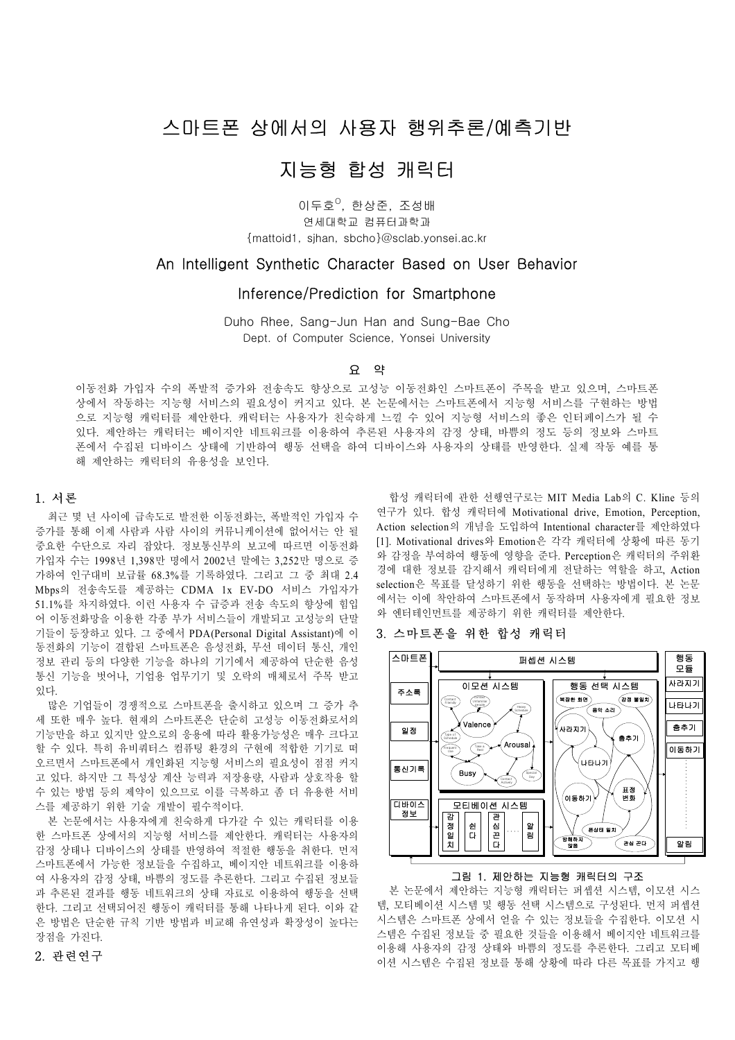# 스마트폰 상에서의 사용자 행위추론/예측기반

# 지능형 합성 캐릭터

이두호<sup>o</sup>, 한상준, 조성배 연세대학교 컴퓨터과학과 {mattoid1, sjhan, sbcho}@sclab.yonsei.ac.kr

# An Intelligent Synthetic Character Based on User Behavior

# Inference/Prediction for Smartphone

Duho Rhee, Sang-Jun Han and Sung-Bae Cho Dept. of Computer Science, Yonsei University

# $G$  약

이동전화 가입자 수의 폭발적 증가와 전송속도 향상으로 고성능 이동전화인 스마트폰이 주목을 받고 있으며, 스마트폰 상에서 작동하는 지능형 서비스의 필요성이 커지고 있다. 본 논문에서는 스마트폰에서 지능형 서비스를 구현하는 방법 으로 지능형 캐릭터를 제안한다. 캐릭터는 사용자가 친숙하게 느낄 수 있어 지능형 서비스의 좋은 인터페이스가 될 수 있다. 제안하는 캐릭터는 베이지안 네트워크를 이용하여 추론된 사용자의 감정 상태, 바쁨의 정도 등의 정보와 스마트 폰에서 수집된 디바이스 상태에 기반하여 행동 선택을 하여 디바이스와 사용자의 상태를 반영한다. 실제 작동 예를 통 해 제안하는 캐릭터의 유용성을 보인다.

## 1. 서론

최근 몇 년 사이에 급속도로 발전한 이동전화는, 폭발적인 가입자 수 증가를 통해 이제 사람과 사람 사이의 커뮤니케이션에 없어서는 안 될 중요한 수단으로 자리 잡았다. 정보통신부의 보고에 따르면 이동전화 가입자 수는 1998년 1,398만 명에서 2002년 말에는 3,252만 명으로 증 가하여 인구대비 보급률 68.3%를 기록하였다. 그리고 그 중 최대 2.4 Mbps의 전송속도를 제공하는 CDMA 1x EV-DO 서비스 가입자가 51.1%를 차지하였다. 이런 사용자 수 급증과 전송 속도의 향상에 힘입 어 이동전화망을 이용한 각종 부가 서비스들이 개발되고 고성능의 단말 기들이 등장하고 있다. 그 중에서 PDA(Personal Digital Assistant)에 이 동전화의 기능이 결합된 스마트폰은 음성전화, 무선 데이터 통신, 개인 정보 관리 등의 다양한 기능을 하나의 기기에서 제공하여 단순한 음성 통신 기능을 벗어나, 기업용 업무기기 및 오락의 매체로서 주목 받고 있다.

많은 기업들이 경쟁적으로 스마트폰을 출시하고 있으며 그 증가 추 세 또한 매우 높다. 현재의 스마트폰은 단순히 고성능 이동전화로서의 기능만을 하고 있지만 앞으로의 응용에 따라 활용가능성은 매우 크다고 할 수 있다. 특히 유비쿼터스 컴퓨팅 환경의 구현에 적합한 기기로 떠 오르면서 스마트폰에서 개인화된 지능형 서비스의 필요성이 점점 커지 고 있다. 하지만 그 특성상 계산 능력과 저장용량, 사람과 상호작용 할 수 있는 방법 등의 제약이 있으므로 이를 극복하고 좀 더 유용한 서비 스를 제공하기 위한 기술 개발이 필수적이다.

본 논문에서는 사용자에게 친숙하게 다가갈 수 있는 캐릭터를 이용 한 스마트폰 상에서의 지능형 서비스를 제안한다. 캐릭터는 사용자의 감정 상태나 디바이스의 상태를 반영하여 적절한 행동을 취한다. 먼저 스마트폰에서 가능한 정보들을 수집하고, 베이지안 네트워크를 이용하 여 사용자의 감정 상태, 바쁨의 정도를 추론한다. 그리고 수집된 정보들 과 추론된 결과를 행동 네트워크의 상태 자료로 이용하여 행동을 선택 한다. 그리고 선택되어진 행동이 캐릭터를 통해 나타나게 된다. 이와 같 은 방법은 단순한 규칙 기반 방법과 비교해 유연성과 확장성이 높다는 장점을 가진다.

## 합성 캐릭터에 관한 선행연구로는 MIT Media Lab의 C. Kline 등의 연구가 있다. 합성 캐릭터에 Motivational drive, Emotion, Perception, Action selection의 개념을 도입하여 Intentional character를 제안하였다 [1]. Motivational drives와 Emotion은 각각 캐릭터에 상황에 따른 동기 와 감정을 부여하여 행동에 영향을 준다. Perception은 캐릭터의 주위환 경에 대한 정보를 감지해서 캐릭터에게 전달하는 역할을 하고, Action selection은 목표를 달성하기 위한 행동을 선택하는 방법이다. 본 논문 에서는 이에 착안하여 스마트폰에서 동작하며 사용자에게 필요한 정보 와 엔터테인먼트를 제공하기 위한 캐릭터를 제안한다.

# 3. 스마트폰을 위한 합성 캐릭터



#### 그림 1. 제안하는 지능형 캐릭터의 구조

본 논문에서 제안하는 지능형 캐릭터는 퍼셉션 시스템, 이모션 시스 템, 모티베이션 시스템 및 행동 선택 시스템으로 구성된다. 먼저 퍼셉션 시스템은 스마트폰 상에서 얻을 수 있는 정보들을 수집한다. 이모션 시 스템은 수집된 정보들 중 필요한 것들을 이용해서 베이지안 네트워크를 이용해 사용자의 감정 상태와 바쁨의 정도를 추론한다. 그리고 모티베 이션 시스템은 수집된 정보를 통해 상황에 따라 다른 목표를 가지고 행

## 2. 관련연구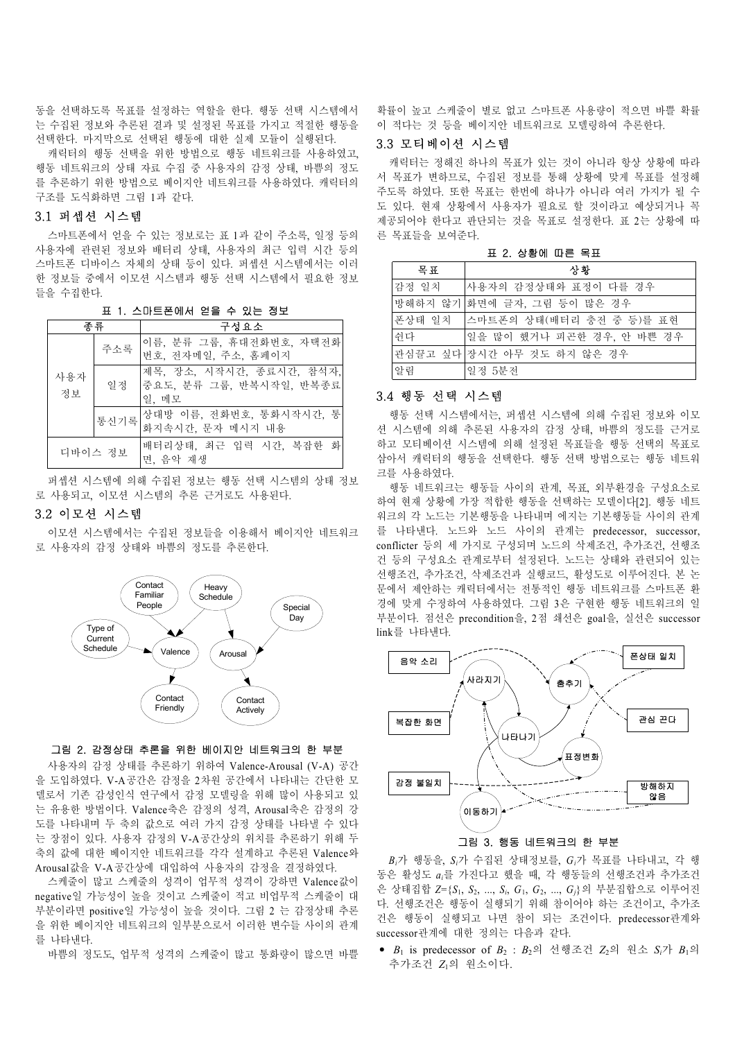동을 선택하도록 목표를 설정하는 역할을 한다. 행동 선택 시스템에서 는 수집된 정보와 추론된 결과 및 설정된 목표를 가지고 적절한 행동을 선택한다. 마지막으로 선택된 행동에 대한 실제 모듈이 실행된다.

캐릭터의 행동 선택을 위한 방법으로 행동 네트워크를 사용하였고, 행동 네트워크의 상태 자료 수집 중 사용자의 감정 상태, 바쁨의 정도 를 추론하기 위한 방법으로 베이지안 네트워크를 사용하였다. 캐릭터의 구조를 도식화하면 그림 1과 같다.

## 3.1 퍼셉션 시스템

스마트폰에서 얻을 수 있는 정보로는 표 1과 같이 주소록, 일정 등의 사용자에 관련된 정보와 배터리 상태, 사용자의 최근 입력 시간 등의 스마트폰 디바이스 자체의 상태 등이 있다. 퍼셉션 시스템에서는 이러 한 정보들 중에서 이모션 시스템과 행동 선택 시스템에서 필요한 정보 들을 수집한다.

표 1. 스마트폰에서 얻을 수 있는 정보

| 주류        |      | 구성요소                                                           |
|-----------|------|----------------------------------------------------------------|
| 사용자<br>정보 | 주소록  | 이름, 분류 그룹, 휴대전화번호, 자택전화<br>번호, 전자메일, 주소, 홈페이지                  |
|           | 일정   | 제목, 장소, 시작시간, 종료시간, 참석자,<br> 중요도, 분류 그룹, 반복시작일, 반복종료 <br>일. 메모 |
|           | 통신기록 | 상대방 이름, 전화번호, 통화시작시간, 통<br>화지속시간, 문자 메시지 내용                    |
| 디바이스 정보   |      | 배터리상태, 최근 입력 시간, 복잡한 화<br>면, 음악 재생                             |

퍼셉션 시스템에 의해 수집된 정보는 행동 선택 시스템의 상태 정보 로 사용되고, 이모션 시스템의 추론 근거로도 사용된다.

#### 3.2 이모션 시스템

이모션 시스템에서는 수집된 정보들을 이용해서 베이지안 네트워크 로 사용자의 감정 상태와 바쁨의 정도를 추론한다.



#### 그림 2. 감정상태 추론을 위한 베이지안 네트워크의 한 부분

사용자의 감정 상태를 추론하기 위하여 Valence-Arousal (V-A) 공간 을 도입하였다. V-A공간은 감정을 2차원 공간에서 나타내는 간단한 모 델로서 기존 감성인식 연구에서 감정 모델링을 위해 많이 사용되고 있 는 유용한 방법이다. Valence축은 감정의 성격, Arousal축은 감정의 강 도를 나타내며 두 축의 값으로 여러 가지 감정 상태를 나타낼 수 있다 는 장점이 있다. 사용자 감정의 V-A공간상의 위치를 추론하기 위해 두 축의 값에 대한 베이지안 네트워크를 각각 설계하고 추론된 Valence와 Arousal값을 V-A공간상에 대입하여 사용자의 감정을 결정하였다.

스케줄이 많고 스케줄의 성격이 업무적 성격이 강하면 Valence값이 negative일 가능성이 높을 것이고 스케줄이 적고 비업무적 스케줄이 대 부분이라면 positive일 가능성이 높을 것이다. 그림 2 는 감정상태 추론 을 위한 베이지안 네트워크의 일부분으로서 이러한 변수들 사이의 관계 를 나타낸다.

바쁨의 정도도, 업무적 성격의 스케줄이 많고 통화량이 많으면 바쁠

확률이 높고 스케줄이 별로 없고 스마트폰 사용량이 적으면 바쁠 확률 이 적다는 것 등을 베이지안 네트워크로 모델링하여 추론한다.

## 3.3 모티베이션 시스템

캐릭터는 정해진 하나의 목표가 있는 것이 아니라 항상 상황에 따라 서 목표가 변하므로, 수집된 정보를 통해 상황에 맞게 목표를 설정해 주도록 하였다. 또한 목표는 한번에 하나가 아니라 여러 가지가 될 수 도 있다. 현재 상황에서 사용자가 필요로 할 것이라고 예상되거나 꼭 제공되어야 한다고 판단되는 것을 목표로 설정한다. 표 2는 상황에 따 른 목표들을 보여준다.

표 2. 상황에 따른 목표

| 굼표    | 상황                               |
|-------|----------------------------------|
| 감정 일치 | 사용자의 감정상태와 표정이 다를 경우             |
|       | 방해하지 않기 화면에 글자, 그림 등이 많은 경우      |
|       | 폰상태 일치  스마트폰의 상태(배터리 충전 중 등)를 표현 |
| 쉬다    | 일을 많이 했거나 피곤한 경우, 안 바쁜 경우        |
|       | 관심끌고 싶다 장시간 아무 것도 하지 않은 경우       |
| 알림    | 일정 5분전                           |

#### 3.4 행동 선택 시스템

행동 선택 시스템에서는, 퍼셉션 시스템에 의해 수집된 정보와 이모 션 시스템에 의해 추론된 사용자의 감정 상태, 바쁨의 정도를 근거로 하고 모티베이션 시스템에 의해 설정된 목표들을 행동 선택의 목표로 삼아서 캐릭터의 행동을 선택한다. 행동 선택 방법으로는 행동 네트워 크를 사용하였다.

행동 네트워크는 행동들 사이의 관계, 목표, 외부환경을 구성요소로 하여 현재 상황에 가장 적합한 행동을 선택하는 모델이다[2]. 행동 네트 워크의 각 노드는 기본행동을 나타내며 에지는 기본행동들 사이의 관계 를 나타낸다. 노드와 노드 사이의 관계는 predecessor, successor, conflicter 등의 세 가지로 구성되며 노드의 삭제조건, 추가조건, 선행조 건 등의 구성요소 관계로부터 설정된다. 노드는 상태와 관련되어 있는 선행조건, 추가조건, 삭제조건과 실행코드, 활성도로 이루어진다. 본 논 문에서 제안하는 캐릭터에서는 전통적인 행동 네트워크를 스마트폰 환 경에 맞게 수정하여 사용하였다. 그림 3은 구현한 행동 네트워크의 일 부분이다. 점선은 precondition을, 2점 쇄선은 goal을, 실선은 successor link를 나타낸다.



그림 3. 행동 네트워크의 한 부분

*Bi*가 행동을, *Si*가 수집된 상태정보를, *Gi*가 목표를 나타내고, 각 행 동은 활성도 *ai*를 가진다고 했을 때, 각 행동들의 선행조건과 추가조건 은 상태집합 *Z*={*S*1, *S*2, ..., *Si*, *G*1, *G*2, ..., *Gj*}의 부분집합으로 이루어진 다. 선행조건은 행동이 실행되기 위해 참이어야 하는 조건이고, 추가조 건은 행동이 실행되고 나면 참이 되는 조건이다. predecessor관계와 successor관계에 대한 정의는 다음과 같다.

• *B*1 is predecessor of *B*2 : *B*2의 선행조건 *Z*2의 원소 *Si*가 *B*1의 추가조건 *Z*1의 원소이다.